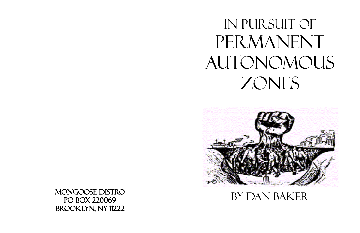

MONGOOSE DISTRO<br>BY DAN BAKER PO BOX 220069 Brooklyn, NY 11222

## In Pursuit of PERMANENT AUTONOMOUS ZONES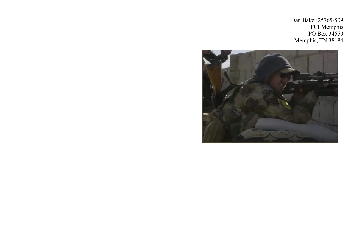

Dan Baker 25765-509 FCI Memphis PO Box 34550 Memphis, TN 38184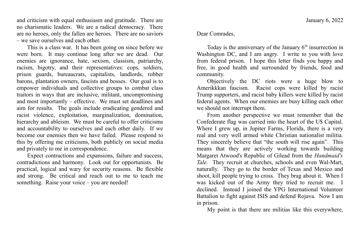Dear Comrades,

Today is the anniversary of the January  $6<sup>th</sup>$  insurrection in Washington DC, and I am angry. I write to you with love from federal prison. I hope this letter finds you happy and free, in good health and surrounded by friends, food and community.

Objectively the DC riots were a huge blow to Amerikkkan fascism. Racist cops were killed by racist Trump supporters, and racist baby killers were killed by racist federal agents. When our enemies are busy killing each other we should not interrupt them.

From another perspective we must remember that the Confederate flag was carried into the heart of the U\$ Capital. Where I grew up, in Jupiter Farms, Florida, there is a very real and very well armed white Christian nationalist militia. They sincerely believe that "the south will rise again". This means that they are actively working towards building Margaret Atwood's Republic of Gilead from the *Handmaid's Tale.* They recruit at churches, schools and even Wal-Mart, naturally. They go to the border of Texas and Mexico and shoot, kill people trying to cross. They brag about it. When I was kicked out of the Army they tried to recruit me. I declined. Instead I joined the YPG International Volunteer Battalion to fight against ISIS and defend Rojava. Now I am in prison.

My point is that there are militias like this everywhere,

and criticism with equal enthusiasm and gratitude. There are no charismatic leaders. We are a radical democracy. There are no heroes, only the fallen are heroes. There are no saviors – we save ourselves and each other.

This is a class war. It has been going on since before we were born. It may continue long after we are dead. Our enemies are ignorance, hate, sexism, classism, patriarchy, racism, bigotry, and their representatives: cops, soldiers, prison guards, bureaucrats, capitalists, landlords, robber barons, plantation owners, fascists and bosses. Our goal is to empower individuals and collective groups to combat class traitors in ways that are inclusive, militant, uncompromising and most importantly – effective. We must set deadlines and aim for results. The goals include eradicating gendered and racist violence, exploitation, marginalization, domination, hierarchy and ableism. We must be careful to offer criticisms and accountability to ourselves and each other daily. If we become our enemies then we have failed. Please respond to this by offering me criticisms, both publicly on social media and privately to me in correspondence.

Expect contractions and expansions, failure and success, contradictions and harmony. Look out for opportunists. Be practical, logical and wary for security reasons. Be flexible and strong. Be critical and reach out to me to teach me something. Raise your voice – you are needed!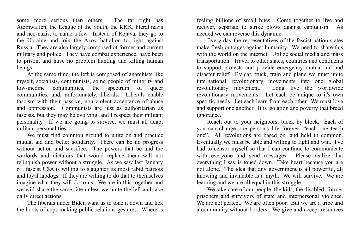some more serious than others. The far right has Atomwaffen, the League of the South, the KKK, literal nazis and neo-nazis, to name a few. Instead of Rojava, they go to the Ukraine and join the Azov battalion to fight against Russia. They are also largely composed of former and current military and police. They have combat experience, have been to prison, and have no problem hunting and killing human beings.

At the same time, the left is composed of anarchists like myself, socialists, communists, some people of minority and low-income communities, the spectrum of queer communities, and, unfortunately, liberals. Liberals enable fascism with their passive, non-violent acceptance of abuse and oppression. Communists are just as authoritarian as fascists, but they may be evolving, and I respect their militant personality. If we are going to survive, we must all adapt militant personalities.

We must find common ground to unite on and practice mutual aid and better solidarity. There can be no progress without action and sacrifice. The powers that be and the warlords and dictators that would replace them will not relinquish power without a struggle. As we saw last January 6<sup>th</sup>, fascist U\$A is willing to slaughter its most rabid patriots and loyal lapdogs. If they are willing to do that to themselves imagine what they will do to us. We are in this together and we will share the same fate unless we unite the left and take daily direct actions.

The liberals under Biden want us to tone it down and lick the boots of cops making public relations gestures. Where is

feeling billions of small bites. Come together to live and recover, separate to strike blows against capitalism. As needed we can reverse this dynamic.

Every day the representatives of the fascist nation states make fresh outrages against humanity. We need to share this with the world on the internet. Utilize social media and mass transportation. Travel to other states, countries and continents to support protests and provide emergency mutual aid and disaster relief. By car, truck, train and plane we must unite international revolutionary movements into one global revolutionary movement. Long live the worldwide revolutionary movements! Let each be unique to it's own specific needs. Let each learn from each other. We must love and support one another. It is isolation and poverty that breed ignorance.

Reach out to your neighbors, block by block. Each of you can change one person's life forever: "each one teach one". All revolutions are based on land held in common. Eventually we must be able and willing to fight and win. I've had to censor myself so that I can continue to communicate with everyone and send messages. Please realize that everything I say is toned down. Take heart because you are not alone. The idea that any government is all powerful, all knowing and invincible is a myth. We will survive. We are learning and we are all equal in this struggle.

We take care of our people, the kids, the disabled, former prisoners and survivors of state and interpersonal violence. We are not perfect. We are often poor. But we are a tribe and a community without borders. We give and accept resources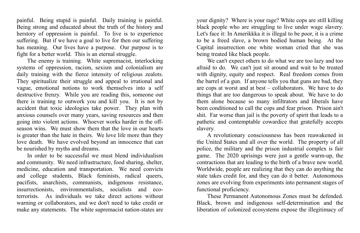your dignity? Where is your rage? White cops are still killing black people who are struggling to live under wage slavery. Let's face it: In Amerikkka it is illegal to be poor, it is a crime to be a freed slave, a brown bodied human being. At the Capital insurrection one white woman cried that she was being treated like black people.

We can't expect others to do what we are too lazy and too afraid to do. We can't just sit around and wait to be treated with dignity, equity and respect. Real freedom comes from the barrel of a gun. If anyone tells you that guns are bad, they are cops at worst and at best – collaborators. We have to do things that are too dangerous to speak about. We have to do them alone because so many infiltrators and liberals have been conditioned to call the cops and fear prison. Prison ain't shit. Far worse than jail is the poverty of spirit that leads to a pathetic and contemptable cowardice that gratefully accepts slavery.

A revolutionary consciousness has been reawakened in the United \$tates and all over the world. The property of all police, the military and the prison industrial complex is fair game. The 2020 uprisings were just a gentle warm-up, the contractions that are leading to the birth of a brave new world. Worldwide, people are realizing that they can do anything the state takes credit for, and they can do it better. Autonomous zones are evolving from experiments into permanent stages of functional proficiency.

These Permanent Autonomous Zones must be defended. Black, brown and indigenous self-determination and the liberation of colonized ecosystems expose the illegitimacy of

painful. Being stupid is painful. Daily training is painful. Being strong and educated about the truth of the history and herstory of oppression is painful. To live is to experience suffering. But if we have a goal to live for then our suffering has meaning. Our lives have a purpose. Our purpose is to fight for a better world. This is an eternal struggle.

The enemy is training. White supremacist, interlocking systems of oppression, racism, sexism and colonialism are daily training with the fierce intensity of religious zealots. They spiritualize their struggle and appeal to irrational and vague, emotional notions to work themselves into a self destructive frenzy. While you are reading this, someone out there is training to outwork you and kill you. It is not by accident that toxic ideologies take power. They plan with anxious counsels over many years, saving resources and then going into violent actions. Whoever works harder in the offseason wins. We must show them that the love in our hearts is greater than the hate in theirs. We love life more than they love death. We have evolved beyond an innocence that can be nourished by myths and dreams.

In order to be successful we must blend individualism and community. We need infrastructure, food sharing, shelter, medicine, education and transportation. We need convicts and college students, Black feminists, radical queers, pacifists, anarchists, communists, indigenous resistance, insurrectionists, environmentalists, socialists and ecoterrorists. As individuals we take direct actions without warning or collaborators, and we don't need to take credit or make any statements. The white supremacist nation-states are